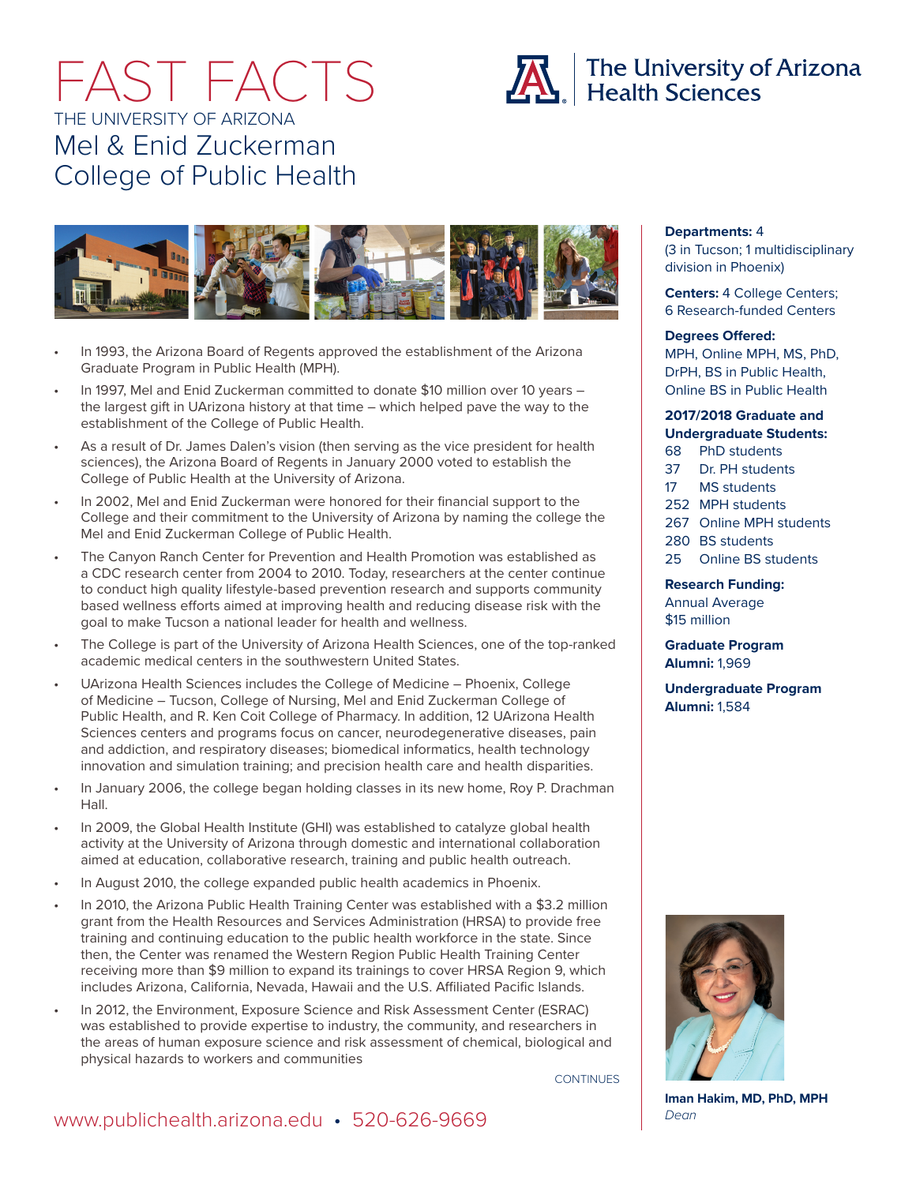# FAST FACTS THE UNIVERSITY OF ARIZONA Mel & Enid Zuckerman College of Public Health



- In 1993, the Arizona Board of Regents approved the establishment of the Arizona Graduate Program in Public Health (MPH).
- In 1997, Mel and Enid Zuckerman committed to donate \$10 million over 10 years the largest gift in UArizona history at that time – which helped pave the way to the establishment of the College of Public Health.
- As a result of Dr. James Dalen's vision (then serving as the vice president for health sciences), the Arizona Board of Regents in January 2000 voted to establish the College of Public Health at the University of Arizona.
- In 2002, Mel and Enid Zuckerman were honored for their financial support to the College and their commitment to the University of Arizona by naming the college the Mel and Enid Zuckerman College of Public Health.
- The Canyon Ranch Center for Prevention and Health Promotion was established as a CDC research center from 2004 to 2010. Today, researchers at the center continue to conduct high quality lifestyle-based prevention research and supports community based wellness efforts aimed at improving health and reducing disease risk with the goal to make Tucson a national leader for health and wellness.
- The College is part of the University of Arizona Health Sciences, one of the top-ranked academic medical centers in the southwestern United States.
- UArizona Health Sciences includes the College of Medicine Phoenix, College of Medicine – Tucson, College of Nursing, Mel and Enid Zuckerman College of Public Health, and R. Ken Coit College of Pharmacy. In addition, 12 UArizona Health Sciences centers and programs focus on cancer, neurodegenerative diseases, pain and addiction, and respiratory diseases; biomedical informatics, health technology innovation and simulation training; and precision health care and health disparities.
- In January 2006, the college began holding classes in its new home, Roy P. Drachman Hall.
- In 2009, the Global Health Institute (GHI) was established to catalyze global health activity at the University of Arizona through domestic and international collaboration aimed at education, collaborative research, training and public health outreach.
- In August 2010, the college expanded public health academics in Phoenix.
- In 2010, the Arizona Public Health Training Center was established with a \$3.2 million grant from the Health Resources and Services Administration (HRSA) to provide free training and continuing education to the public health workforce in the state. Since then, the Center was renamed the Western Region Public Health Training Center receiving more than \$9 million to expand its trainings to cover HRSA Region 9, which includes Arizona, California, Nevada, Hawaii and the U.S. Affiliated Pacific Islands.
- In 2012, the Environment, Exposure Science and Risk Assessment Center (ESRAC) was established to provide expertise to industry, the community, and researchers in the areas of human exposure science and risk assessment of chemical, biological and physical hazards to workers and communities

**CONTINUES** 

### **Departments:** 4

(3 in Tucson; 1 multidisciplinary division in Phoenix)

**Centers:** 4 College Centers; 6 Research-funded Centers

#### **Degrees Offered:**

MPH, Online MPH, MS, PhD, DrPH, BS in Public Health, Online BS in Public Health

### **2017/2018 Graduate and Undergraduate Students:**

68 PhD students

- 37 Dr. PH students
- 17 MS students
- 252 MPH students
- 267 Online MPH students
- 280 BS students
- 25 Online BS students

**Research Funding:** Annual Average \$15 million

**Graduate Program Alumni:** 1,969

**Undergraduate Program Alumni:** 1,584



**Iman Hakim, MD, PhD, MPH** *Dean*